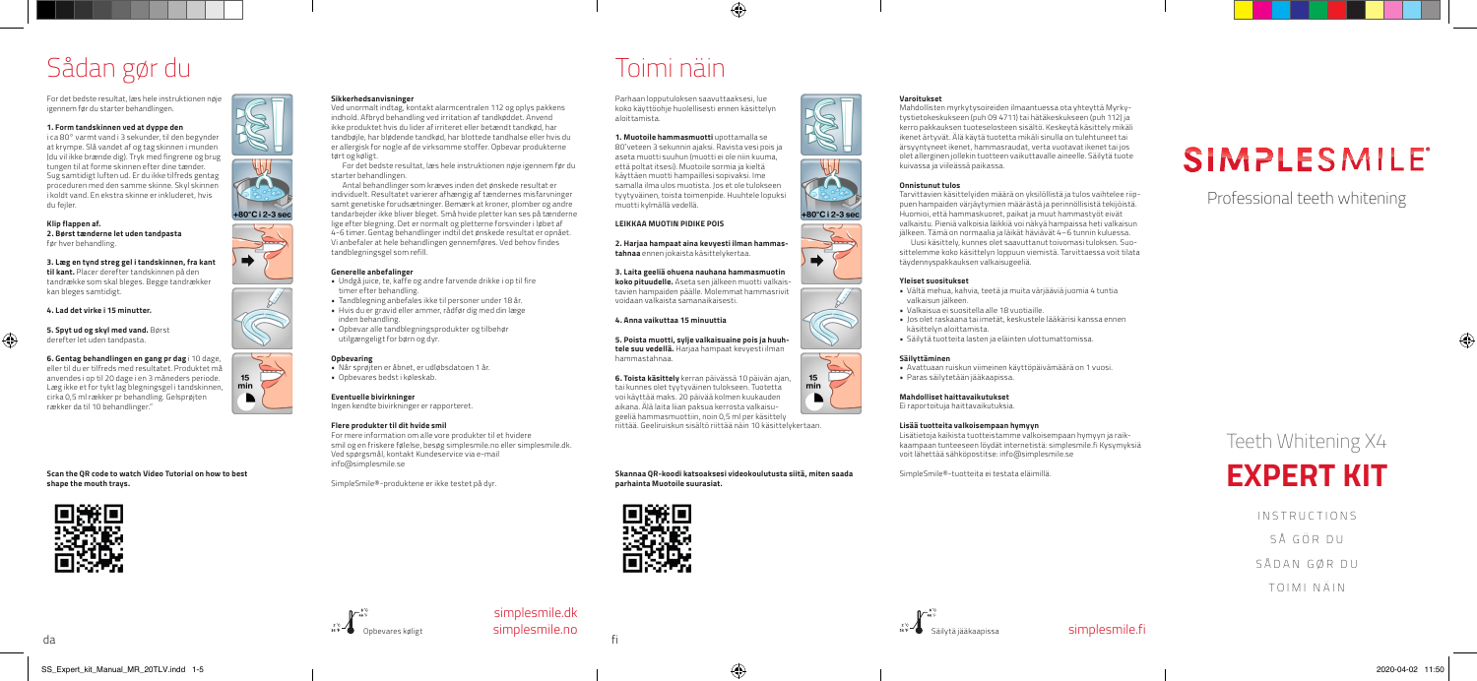## Sådan gør du

For det bedste resultat, læs hele instruktionen nøje igennem før du starter behandlingen.

### **1. Form tandskinnen ved at dyppe den**

i ca 80° varmt vand i 3 sekunder, til den begynder at krympe. Slå vandet af og tag skinnen i munden (du vil ikke brænde dig). Tryk med fingrene og brug tungen til at forme skinnen efter dine tænder. Sug samtidigt luften ud. Er du ikke tilfreds gentag proceduren med den samme skinne. Skyl skinnen i koldt vand. En ekstra skinne er inkluderet, hvis du fejler.

### **Klip flappen af.**

⊕

**2. Børst tænderne let uden tandpasta** før hver behandling.

**3. Læg en tynd streg gel i tandskinnen, fra kant til kant.** Placer derefter tandskinnen på den tandrække som skal bleges. Begge tandrækker kan bleges samtidigt.

**4. Lad det virke i 15 minutter.**

### **5. Spyt ud og skyl med vand.** Børst derefter let uden tandpasta.

**6. Gentag behandlingen en gang pr dag** i 10 dage, eller til du er tilfreds med resultatet. Produktet må

anvendes i op til 20 dage i en 3 måneders periode. Læg ikke et for tykt lag blegningsgel i tandskinnen, cirka 0,5 ml rækker pr behandling. Gelsprøjten rækker da til 10 behandlinger."

**Scan the QR code to watch Video Tutorial on how to best shape the mouth trays.** 



#### **Sikkerhedsanvisninger**

Ved unormalt indtag, kontakt alarmcentralen 112 og oplys pakkens indhold. Afbryd behandling ved irritation af tandkøddet. Anvend ikke produktet hvis du lider af irriteret eller betændt tandkød, har tandbøjle, har blødende tandkød, har blottede tandhalse eller hvis du er allergisk for nogle af de virksomme stoffer. Opbevar produkterne tørt og køligt.

For det bedste resultat, læs hele instruktionen nøje igennem før du starter behandlingen.

Antal behandlinger som kræves inden det ønskede resultat er individuelt. Resultatet varierer afhængig af tændernes misfarvninger samt genetiske forudsætninger. Bemærk at kroner, plomber og andre tandarbejder ikke bliver bleget. Små hvide pletter kan ses på tænderne lige efter blegning. Det er normalt og pletterne forsvinder i løbet af 4-6 timer. Gentag behandlinger indtil det ønskede resultat er opnået. Vi anbefaler at hele behandlingen gennemføres. Ved behov findes tandblegningsgel som refill.

### **Generelle anbefalinger**

- Undgå juice, te, kaffe og andre farvende drikke i op til fire timer efter behandling.
- Tandblegning anbefales ikke til personer under 18 år. • Hvis du er gravid eller ammer, rådfør dig med din læge inden behandling.
- Opbevar alle tandblegningsprodukter og tilbehør utilgængeligt for børn og dyr.

### **Opbevaring**

+80°C i 2-3 sec

 $\Rightarrow$ 

15

min

- Når sprøjten er åbnet, er udløbsdatoen 1 år. • Opbevares bedst i køleskab.
- **Eventuelle bivirkninger**

Ingen kendte bivirkninger er rapporteret.

### **Flere produkter til dit hvide smil**

For mere information om alle vore produkter til et hvidere smil og en friskere følelse, besøg simplesmile.no eller simplesmile.dk. Ved spørgsmål, kontakt Kundeservice via e-mail info@simplesmile.se

SimpleSmile®-produktene er ikke testet på dyr.



fi

simplesmile.dk simplesmile.no

### Toimi näin

Parhaan lopputuloksen saavuttaaksesi, lue koko käyttöohje huolellisesti ennen käsittelyn aloittamista.

◈

### **1. Muotoile hammasmuotti** upottamalla se

80˚veteen 3 sekunnin ajaksi. Ravista vesi pois ja aseta muotti suuhun (muotti ei ole niin kuuma, että poltat itsesi). Muotoile sormia ja kieltä käyttäen muotti hampaillesi sopivaksi. Ime samalla ilma ulos muotista. Jos et ole tulokseen tyytyväinen, toista toimenpide. Huuhtele lopuksi muotti kylmällä vedellä.

### **LEIKKAA MUOTIN PIDIKE POIS**

**2. Harjaa hampaat aina kevyesti ilman hammastahnaa** ennen jokaista käsittelykertaa.

**3. Laita geeliä ohuena nauhana hammasmuotin** 

**koko pituudelle.** Aseta sen jälkeen muotti valkaistavien hampaiden päälle. Molemmat hammasrivit voidaan valkaista samanaikaisesti.

### **4. Anna vaikuttaa 15 minuuttia**

**5. Poista muotti, sylje valkaisuaine pois ja huuhtele suu vedellä.** Harjaa hampaat kevyesti ilman hammastahnaa.

**6. Toista käsittely** kerran päivässä 10 päivän ajan, tai kunnes olet tyytyväinen tulokseen. Tuotetta voi käyttää maks. 20 päivää kolmen kuukauden aikana. Älä laita liian paksua kerrosta valkaisugeeliä hammasmuottiin, noin 0,5 ml per käsittely

**Skannaa QR-koodi katsoaksesi videokoulutusta siitä, miten saada parhainta Muotoile suurasiat.**



### **Varoitukset**

Mahdollisten myrkytysoireiden ilmaantuessa ota yhteyttä Myrkytystietokeskukseen (puh 09 4711) tai hätäkeskukseen (puh 112) ja kerro pakkauksen tuoteselosteen sisältö. Keskeytä käsittely mikäli ikenet ärtyvät. Älä käytä tuotetta mikäli sinulla on tulehtuneet tai ärsyyntyneet ikenet, hammasraudat, verta vuotavat ikenet tai jos olet allerginen jollekin tuotteen vaikuttavalle aineelle. Säilytä tuote kuivassa ja viileässä paikassa.

### **Onnistunut tulos**

Tarvittavien käsittelyiden määrä on yksilöllistä ja tulos vaihtelee riippuen hampaiden värjäytymien määrästä ja perinnöllisistä tekijöistä. Huomioi, että hammaskuoret, paikat ja muut hammastyöt eivät valkaistu. Pieniä valkoisia läikkiä voi näkyä hampaissa heti valkaisun jälkeen. Tämä on normaalia ja läikät häviävät 4–6 tunnin kuluessa. Uusi käsittely, kunnes olet saavuttanut toivomasi tuloksen. Suosittelemme koko käsittelyn loppuun viemistä. Tarvittaessa voit tilata täydennyspakkauksen valkaisugeeliä.

### **Yleiset suositukset**

• Vältä mehua, kahvia, teetä ja muita värjääviä juomia 4 tuntia valkaisun jälkeen.

- Valkaisua ei suositella alle 18 vuotiaille.
- Jos olet raskaana tai imetät, keskustele lääkärisi kanssa ennen käsittelyn aloittamista.
- Säilytä tuotteita lasten ja eläinten ulottumattomissa.

### **Säilyttäminen**

• Avattuaan ruiskun viimeinen käyttöpäivämäärä on 1 vuosi. • Paras säilytetään jääkaapissa.

**Mahdolliset haittavaikutukset** Ei raportoituja haittavaikutuksia.

### **Lisää tuotteita valkoisempaan hymyyn**

Lisätietoja kaikista tuotteistamme valkoisempaan hymyyn ja raikkaampaan tunteeseen löydät internetistä: simplesmile.fi Kysymyksiä voit lähettää sähköpostitse: info@simplesmile.se

SimpleSmile®-tuotteita ei testata eläimillä.

# **SIMPLESMILE**<sup>®</sup>

### Professional teeth whitening

Teeth Whitening X4

## **EXPERT KIT**

INSTRUCTIONS

SÅ GÖR DU

SÅDAN GØR DU

TOIMI NÄIN



+80°C i 2-3 sec

 $\Rightarrow$ 

riittää. Geeliruiskun sisältö riittää näin 10 käsittelykertaan.